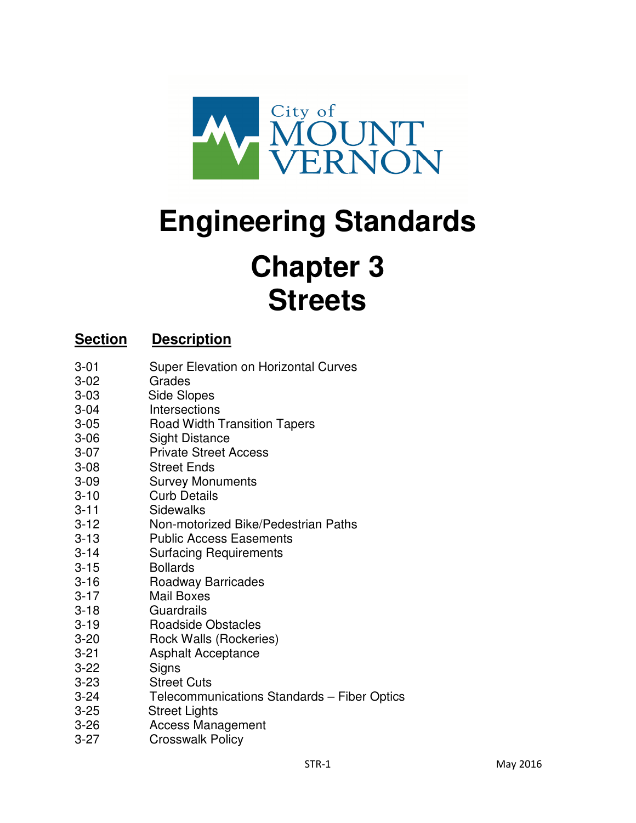

# **Engineering Standards Chapter 3 Streets**

# **Section Description**

- 3-01 Super Elevation on Horizontal Curves
- 3-02 Grades
- 3-03 Side Slopes
- 3-04 Intersections
- 3-05 Road Width Transition Tapers
- 3-06 Sight Distance
- 3-07 Private Street Access
- 3-08 Street Ends
- 3-09 Survey Monuments
- 3-10 Curb Details
- 3-11 Sidewalks
- 3-12 Non-motorized Bike/Pedestrian Paths
- 3-13 Public Access Easements
- 3-14 Surfacing Requirements
- 3-15 Bollards
- 3-16 Roadway Barricades
- 3-17 Mail Boxes
- 3-18 Guardrails
- 3-19 Roadside Obstacles
- 3-20 Rock Walls (Rockeries)
- 3-21 Asphalt Acceptance
- 3-22 Signs
- 3-23 Street Cuts
- 3-24 Telecommunications Standards Fiber Optics
- 3-25 Street Lights
- 3-26 Access Management
- 3-27 Crosswalk Policy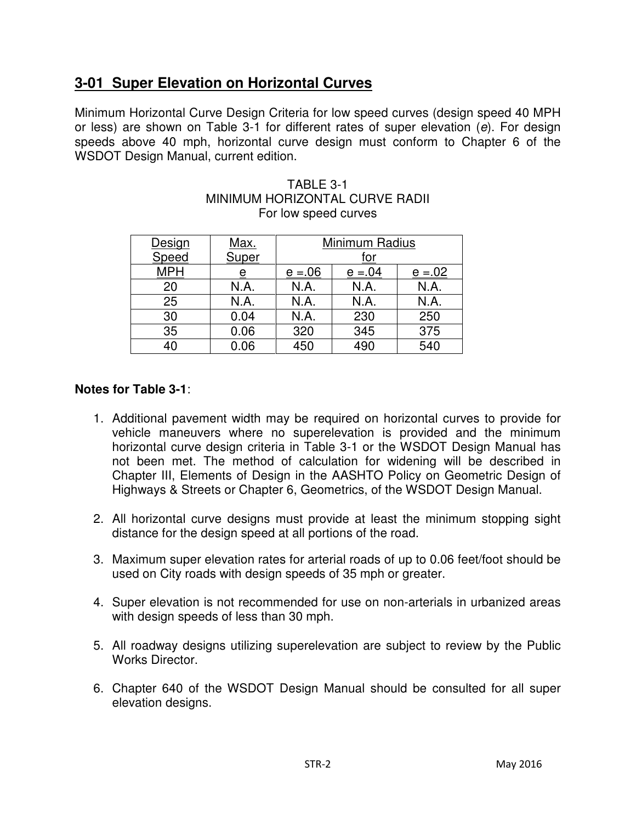# **3-01 Super Elevation on Horizontal Curves**

Minimum Horizontal Curve Design Criteria for low speed curves (design speed 40 MPH or less) are shown on Table 3-1 for different rates of super elevation (e). For design speeds above 40 mph, horizontal curve design must conform to Chapter 6 of the WSDOT Design Manual, current edition.

| Design<br>Speed | <u>Max.</u><br>Super | Minimum Radius<br>for |            |            |
|-----------------|----------------------|-----------------------|------------|------------|
| <b>MPH</b>      |                      | $e = 0.06$            | $e = 0.04$ | $e = 0.02$ |
| 20              | N.A.                 | N.A.                  | N.A.       | N.A.       |
| 25              | N.A.                 | N.A.                  | N.A.       | N.A.       |
| 30              | 0.04                 | N.A.                  | 230        | 250        |
| 35              | 0.06                 | 320                   | 345        | 375        |
| 40              | 0.06                 | 450                   | 490        | 540        |

#### TABLE 3-1 MINIMUM HORIZONTAL CURVE RADII For low speed curves

## **Notes for Table 3-1**:

- 1. Additional pavement width may be required on horizontal curves to provide for vehicle maneuvers where no superelevation is provided and the minimum horizontal curve design criteria in Table 3-1 or the WSDOT Design Manual has not been met. The method of calculation for widening will be described in Chapter III, Elements of Design in the AASHTO Policy on Geometric Design of Highways & Streets or Chapter 6, Geometrics, of the WSDOT Design Manual.
- 2. All horizontal curve designs must provide at least the minimum stopping sight distance for the design speed at all portions of the road.
- 3. Maximum super elevation rates for arterial roads of up to 0.06 feet/foot should be used on City roads with design speeds of 35 mph or greater.
- 4. Super elevation is not recommended for use on non-arterials in urbanized areas with design speeds of less than 30 mph.
- 5. All roadway designs utilizing superelevation are subject to review by the Public Works Director.
- 6. Chapter 640 of the WSDOT Design Manual should be consulted for all super elevation designs.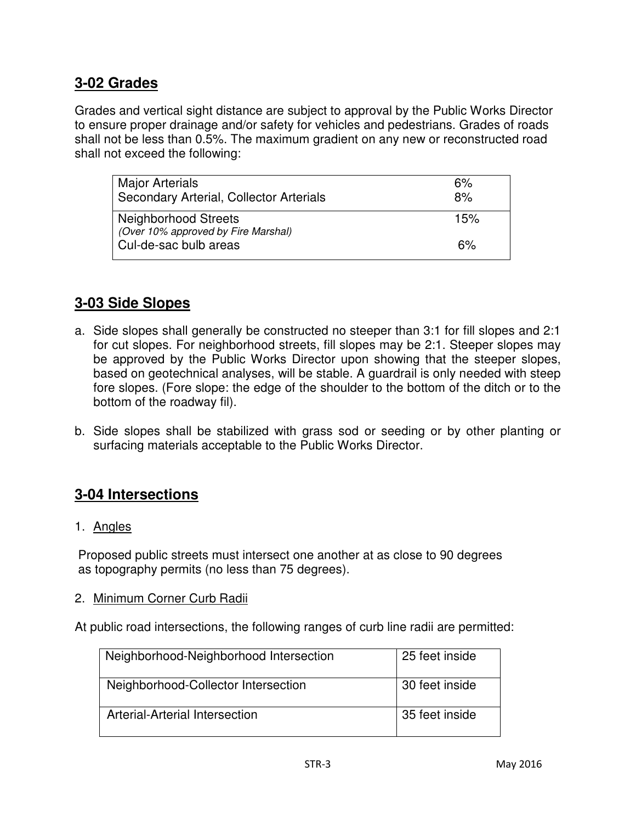## **3-02 Grades**

Grades and vertical sight distance are subject to approval by the Public Works Director to ensure proper drainage and/or safety for vehicles and pedestrians. Grades of roads shall not be less than 0.5%. The maximum gradient on any new or reconstructed road shall not exceed the following:

| <b>Major Arterials</b><br>Secondary Arterial, Collector Arterials  | 6%<br>8% |
|--------------------------------------------------------------------|----------|
| <b>Neighborhood Streets</b><br>(Over 10% approved by Fire Marshal) | 15%      |
| Cul-de-sac bulb areas                                              | 6%       |

# **3-03 Side Slopes**

- a. Side slopes shall generally be constructed no steeper than 3:1 for fill slopes and 2:1 for cut slopes. For neighborhood streets, fill slopes may be 2:1. Steeper slopes may be approved by the Public Works Director upon showing that the steeper slopes, based on geotechnical analyses, will be stable. A guardrail is only needed with steep fore slopes. (Fore slope: the edge of the shoulder to the bottom of the ditch or to the bottom of the roadway fil).
- b. Side slopes shall be stabilized with grass sod or seeding or by other planting or surfacing materials acceptable to the Public Works Director.

## **3-04 Intersections**

1. Angles

 Proposed public streets must intersect one another at as close to 90 degrees as topography permits (no less than 75 degrees).

2. Minimum Corner Curb Radii

At public road intersections, the following ranges of curb line radii are permitted:

| Neighborhood-Neighborhood Intersection | 25 feet inside |
|----------------------------------------|----------------|
| Neighborhood-Collector Intersection    | 30 feet inside |
| Arterial-Arterial Intersection         | 35 feet inside |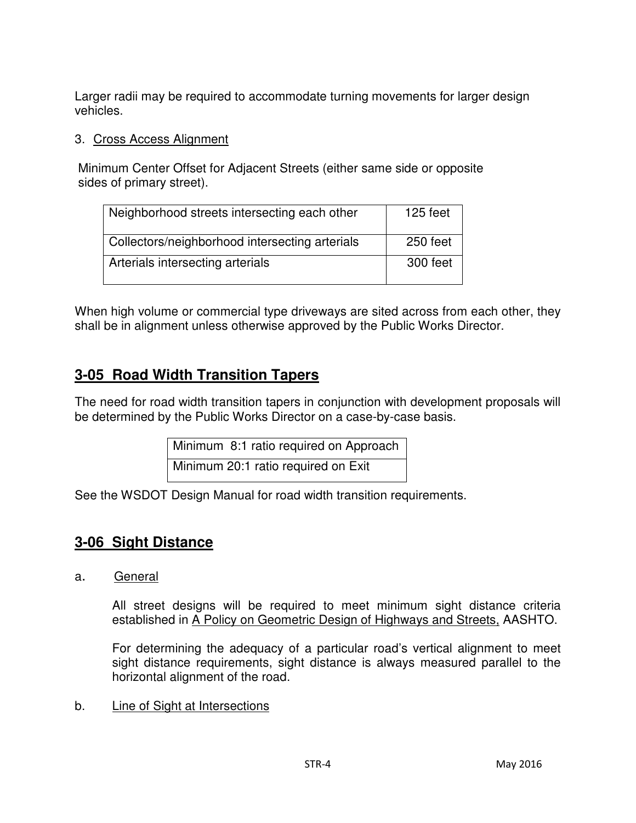Larger radii may be required to accommodate turning movements for larger design vehicles.

## 3. Cross Access Alignment

 Minimum Center Offset for Adjacent Streets (either same side or opposite sides of primary street).

| Neighborhood streets intersecting each other   | 125 feet |
|------------------------------------------------|----------|
| Collectors/neighborhood intersecting arterials | 250 feet |
| Arterials intersecting arterials               | 300 feet |

When high volume or commercial type driveways are sited across from each other, they shall be in alignment unless otherwise approved by the Public Works Director.

# **3-05 Road Width Transition Tapers**

The need for road width transition tapers in conjunction with development proposals will be determined by the Public Works Director on a case-by-case basis.

> Minimum 8:1 ratio required on Approach Minimum 20:1 ratio required on Exit

See the WSDOT Design Manual for road width transition requirements.

# **3-06 Sight Distance**

a. General

All street designs will be required to meet minimum sight distance criteria established in A Policy on Geometric Design of Highways and Streets, AASHTO.

For determining the adequacy of a particular road's vertical alignment to meet sight distance requirements, sight distance is always measured parallel to the horizontal alignment of the road.

b. Line of Sight at Intersections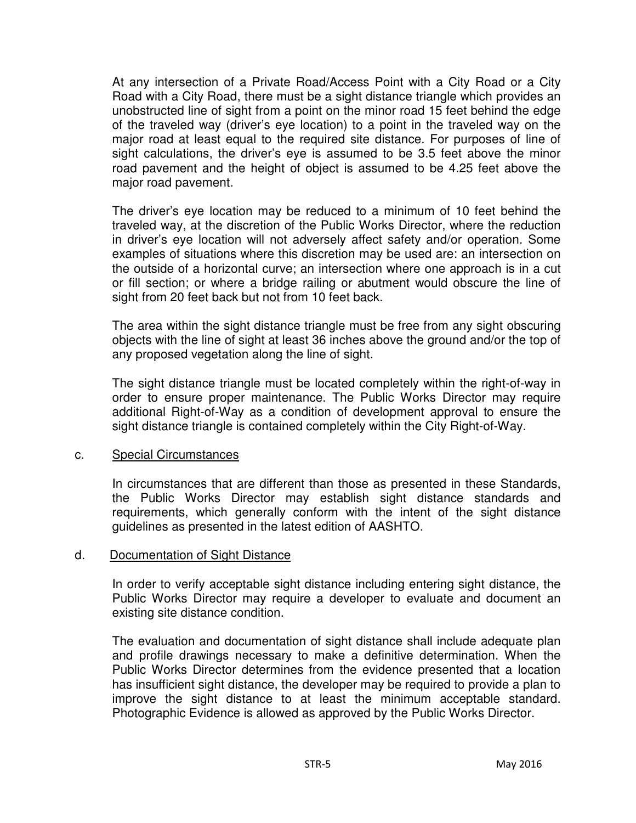At any intersection of a Private Road/Access Point with a City Road or a City Road with a City Road, there must be a sight distance triangle which provides an unobstructed line of sight from a point on the minor road 15 feet behind the edge of the traveled way (driver's eye location) to a point in the traveled way on the major road at least equal to the required site distance. For purposes of line of sight calculations, the driver's eye is assumed to be 3.5 feet above the minor road pavement and the height of object is assumed to be 4.25 feet above the major road pavement.

The driver's eye location may be reduced to a minimum of 10 feet behind the traveled way, at the discretion of the Public Works Director, where the reduction in driver's eye location will not adversely affect safety and/or operation. Some examples of situations where this discretion may be used are: an intersection on the outside of a horizontal curve; an intersection where one approach is in a cut or fill section; or where a bridge railing or abutment would obscure the line of sight from 20 feet back but not from 10 feet back.

The area within the sight distance triangle must be free from any sight obscuring objects with the line of sight at least 36 inches above the ground and/or the top of any proposed vegetation along the line of sight.

The sight distance triangle must be located completely within the right-of-way in order to ensure proper maintenance. The Public Works Director may require additional Right-of-Way as a condition of development approval to ensure the sight distance triangle is contained completely within the City Right-of-Way.

#### c. Special Circumstances

In circumstances that are different than those as presented in these Standards, the Public Works Director may establish sight distance standards and requirements, which generally conform with the intent of the sight distance guidelines as presented in the latest edition of AASHTO.

#### d. Documentation of Sight Distance

In order to verify acceptable sight distance including entering sight distance, the Public Works Director may require a developer to evaluate and document an existing site distance condition.

The evaluation and documentation of sight distance shall include adequate plan and profile drawings necessary to make a definitive determination. When the Public Works Director determines from the evidence presented that a location has insufficient sight distance, the developer may be required to provide a plan to improve the sight distance to at least the minimum acceptable standard. Photographic Evidence is allowed as approved by the Public Works Director.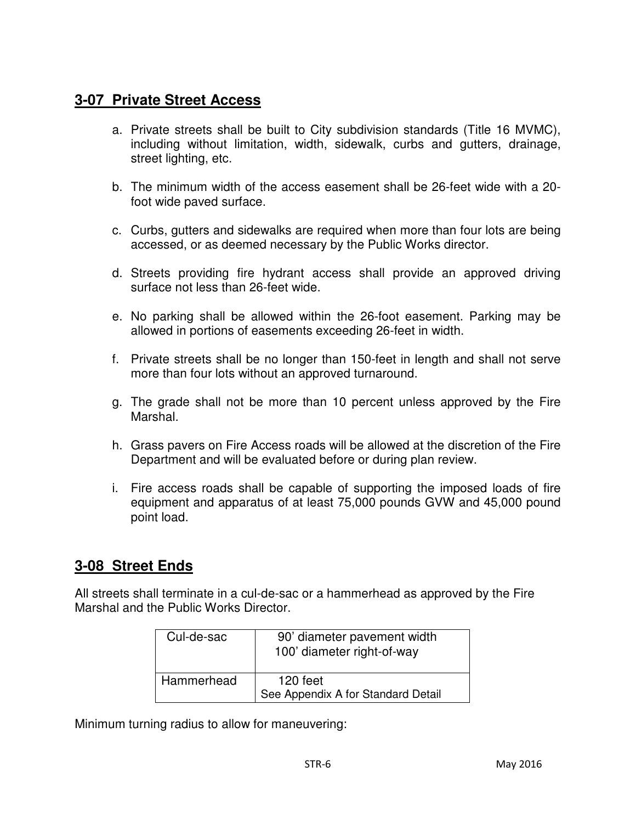## **3-07 Private Street Access**

- a. Private streets shall be built to City subdivision standards (Title 16 MVMC), including without limitation, width, sidewalk, curbs and gutters, drainage, street lighting, etc.
- b. The minimum width of the access easement shall be 26-feet wide with a 20 foot wide paved surface.
- c. Curbs, gutters and sidewalks are required when more than four lots are being accessed, or as deemed necessary by the Public Works director.
- d. Streets providing fire hydrant access shall provide an approved driving surface not less than 26-feet wide.
- e. No parking shall be allowed within the 26-foot easement. Parking may be allowed in portions of easements exceeding 26-feet in width.
- f. Private streets shall be no longer than 150-feet in length and shall not serve more than four lots without an approved turnaround.
- g. The grade shall not be more than 10 percent unless approved by the Fire Marshal.
- h. Grass pavers on Fire Access roads will be allowed at the discretion of the Fire Department and will be evaluated before or during plan review.
- i. Fire access roads shall be capable of supporting the imposed loads of fire equipment and apparatus of at least 75,000 pounds GVW and 45,000 pound point load.

## **3-08 Street Ends**

All streets shall terminate in a cul-de-sac or a hammerhead as approved by the Fire Marshal and the Public Works Director.

| Cul-de-sac | 90' diameter pavement width<br>100' diameter right-of-way |
|------------|-----------------------------------------------------------|
| Hammerhead | 120 feet<br>See Appendix A for Standard Detail            |

Minimum turning radius to allow for maneuvering: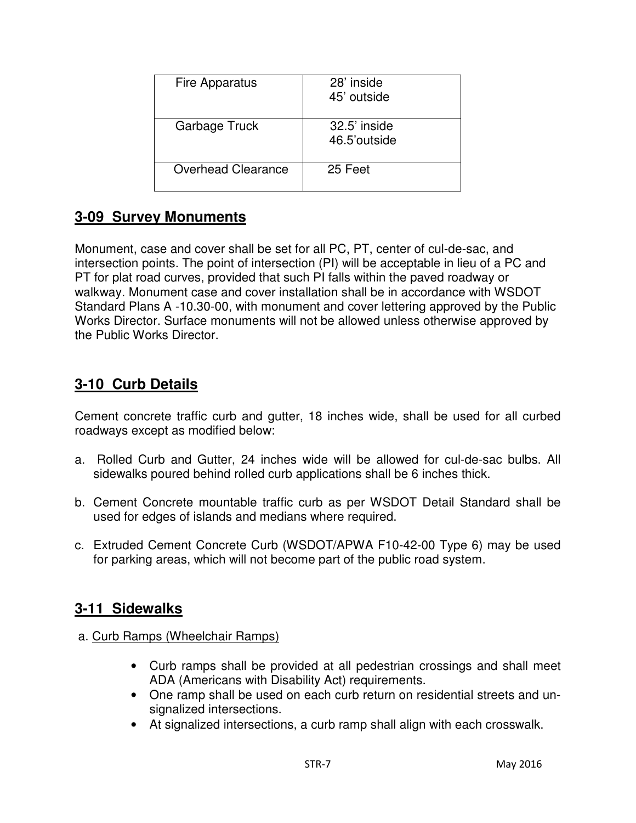| Fire Apparatus            | 28' inside<br>45' outside    |
|---------------------------|------------------------------|
| Garbage Truck             | 32.5' inside<br>46.5'outside |
| <b>Overhead Clearance</b> | 25 Feet                      |

# **3-09 Survey Monuments**

Monument, case and cover shall be set for all PC, PT, center of cul-de-sac, and intersection points. The point of intersection (PI) will be acceptable in lieu of a PC and PT for plat road curves, provided that such PI falls within the paved roadway or walkway. Monument case and cover installation shall be in accordance with WSDOT Standard Plans A -10.30-00, with monument and cover lettering approved by the Public Works Director. Surface monuments will not be allowed unless otherwise approved by the Public Works Director.

# **3-10 Curb Details**

Cement concrete traffic curb and gutter, 18 inches wide, shall be used for all curbed roadways except as modified below:

- a. Rolled Curb and Gutter, 24 inches wide will be allowed for cul-de-sac bulbs. All sidewalks poured behind rolled curb applications shall be 6 inches thick.
- b. Cement Concrete mountable traffic curb as per WSDOT Detail Standard shall be used for edges of islands and medians where required.
- c. Extruded Cement Concrete Curb (WSDOT/APWA F10-42-00 Type 6) may be used for parking areas, which will not become part of the public road system.

## **3-11 Sidewalks**

- a. Curb Ramps (Wheelchair Ramps)
	- Curb ramps shall be provided at all pedestrian crossings and shall meet ADA (Americans with Disability Act) requirements.
	- One ramp shall be used on each curb return on residential streets and unsignalized intersections.
	- At signalized intersections, a curb ramp shall align with each crosswalk.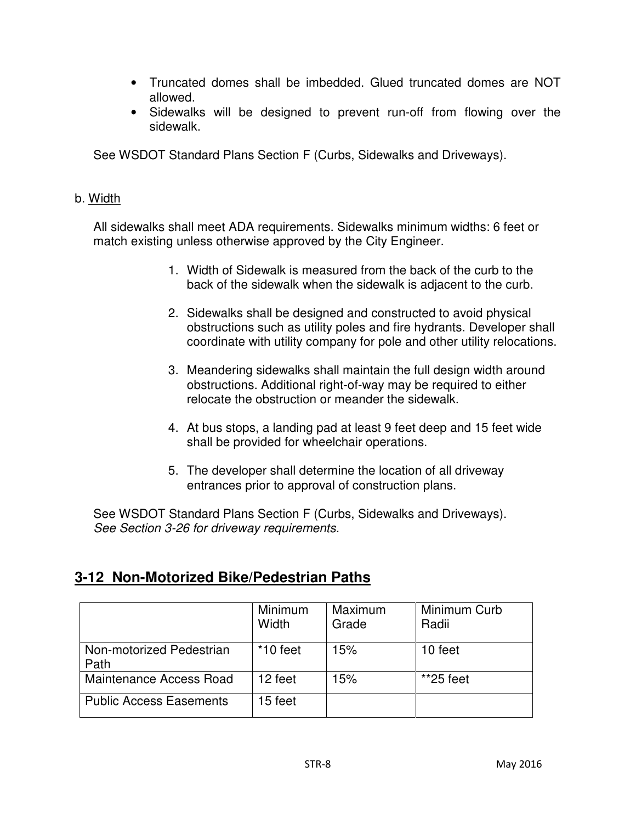- Truncated domes shall be imbedded. Glued truncated domes are NOT allowed.
- Sidewalks will be designed to prevent run-off from flowing over the sidewalk.

See WSDOT Standard Plans Section F (Curbs, Sidewalks and Driveways).

#### b. Width

 All sidewalks shall meet ADA requirements. Sidewalks minimum widths: 6 feet or match existing unless otherwise approved by the City Engineer.

- 1. Width of Sidewalk is measured from the back of the curb to the back of the sidewalk when the sidewalk is adjacent to the curb.
- 2. Sidewalks shall be designed and constructed to avoid physical obstructions such as utility poles and fire hydrants. Developer shall coordinate with utility company for pole and other utility relocations.
- 3. Meandering sidewalks shall maintain the full design width around obstructions. Additional right-of-way may be required to either relocate the obstruction or meander the sidewalk.
- 4. At bus stops, a landing pad at least 9 feet deep and 15 feet wide shall be provided for wheelchair operations.
- 5. The developer shall determine the location of all driveway entrances prior to approval of construction plans.

 See WSDOT Standard Plans Section F (Curbs, Sidewalks and Driveways). See Section 3-26 for driveway requirements.

## **3-12 Non-Motorized Bike/Pedestrian Paths**

|                                  | Minimum<br>Width | Maximum<br>Grade | Minimum Curb<br>Radii |
|----------------------------------|------------------|------------------|-----------------------|
| Non-motorized Pedestrian<br>Path | $*10$ feet       | 15%              | 10 feet               |
| Maintenance Access Road          | 12 feet          | 15%              | $*25$ feet            |
| <b>Public Access Easements</b>   | 15 feet          |                  |                       |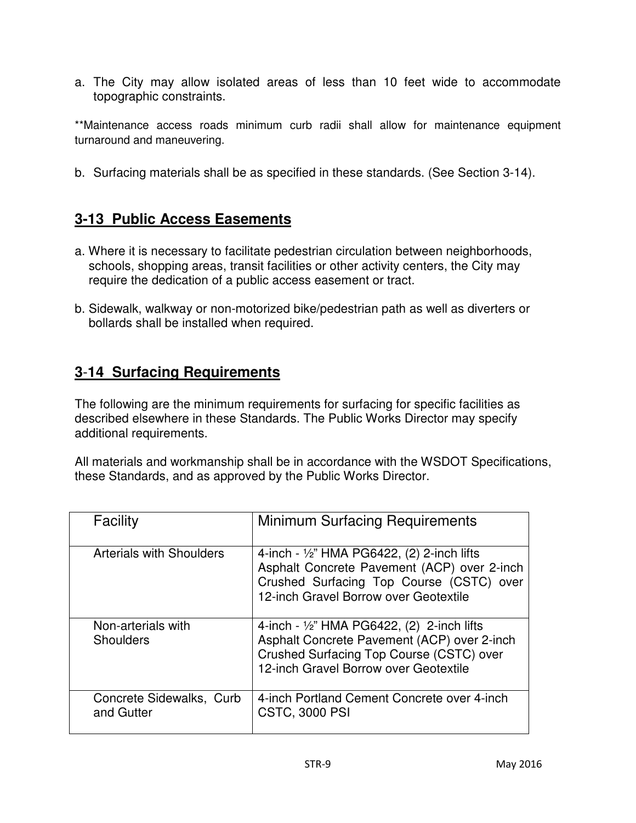a. The City may allow isolated areas of less than 10 feet wide to accommodate topographic constraints.

\*\*Maintenance access roads minimum curb radii shall allow for maintenance equipment turnaround and maneuvering.

b. Surfacing materials shall be as specified in these standards. (See Section 3-14).

# **3-13 Public Access Easements**

- a. Where it is necessary to facilitate pedestrian circulation between neighborhoods, schools, shopping areas, transit facilities or other activity centers, the City may require the dedication of a public access easement or tract.
- b. Sidewalk, walkway or non-motorized bike/pedestrian path as well as diverters or bollards shall be installed when required.

# **3**-**14 Surfacing Requirements**

The following are the minimum requirements for surfacing for specific facilities as described elsewhere in these Standards. The Public Works Director may specify additional requirements.

All materials and workmanship shall be in accordance with the WSDOT Specifications, these Standards, and as approved by the Public Works Director.

| <b>Facility</b>                        | <b>Minimum Surfacing Requirements</b>                                                                                                                                                     |
|----------------------------------------|-------------------------------------------------------------------------------------------------------------------------------------------------------------------------------------------|
| <b>Arterials with Shoulders</b>        | 4-inch - $\frac{1}{2}$ " HMA PG6422, (2) 2-inch lifts<br>Asphalt Concrete Pavement (ACP) over 2-inch<br>Crushed Surfacing Top Course (CSTC) over<br>12-inch Gravel Borrow over Geotextile |
| Non-arterials with<br><b>Shoulders</b> | 4-inch - $\frac{1}{2}$ " HMA PG6422, (2) 2-inch lifts<br>Asphalt Concrete Pavement (ACP) over 2-inch<br>Crushed Surfacing Top Course (CSTC) over<br>12-inch Gravel Borrow over Geotextile |
| Concrete Sidewalks, Curb<br>and Gutter | 4-inch Portland Cement Concrete over 4-inch<br><b>CSTC, 3000 PSI</b>                                                                                                                      |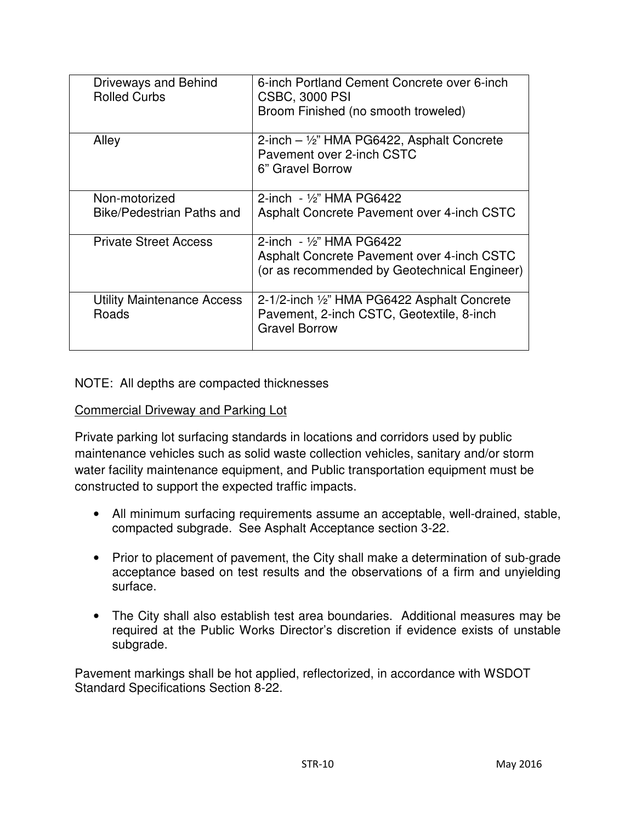| <b>Driveways and Behind</b><br><b>Rolled Curbs</b> | 6-inch Portland Cement Concrete over 6-inch<br><b>CSBC, 3000 PSI</b><br>Broom Finished (no smooth troweled)              |
|----------------------------------------------------|--------------------------------------------------------------------------------------------------------------------------|
| Alley                                              | 2-inch $-$ 1/2" HMA PG6422, Asphalt Concrete<br>Pavement over 2-inch CSTC<br>6" Gravel Borrow                            |
| Non-motorized<br>Bike/Pedestrian Paths and         | 2-inch $-$ 1/2" HMA PG6422<br>Asphalt Concrete Pavement over 4-inch CSTC                                                 |
| <b>Private Street Access</b>                       | 2-inch $-$ 1/2" HMA PG6422<br>Asphalt Concrete Pavement over 4-inch CSTC<br>(or as recommended by Geotechnical Engineer) |
| Utility Maintenance Access<br>Roads                | 2-1/2-inch 1/2" HMA PG6422 Asphalt Concrete<br>Pavement, 2-inch CSTC, Geotextile, 8-inch<br><b>Gravel Borrow</b>         |

#### NOTE: All depths are compacted thicknesses

#### Commercial Driveway and Parking Lot

Private parking lot surfacing standards in locations and corridors used by public maintenance vehicles such as solid waste collection vehicles, sanitary and/or storm water facility maintenance equipment, and Public transportation equipment must be constructed to support the expected traffic impacts.

- All minimum surfacing requirements assume an acceptable, well-drained, stable, compacted subgrade. See Asphalt Acceptance section 3-22.
- Prior to placement of pavement, the City shall make a determination of sub-grade acceptance based on test results and the observations of a firm and unyielding surface.
- The City shall also establish test area boundaries. Additional measures may be required at the Public Works Director's discretion if evidence exists of unstable subgrade.

Pavement markings shall be hot applied, reflectorized, in accordance with WSDOT Standard Specifications Section 8-22.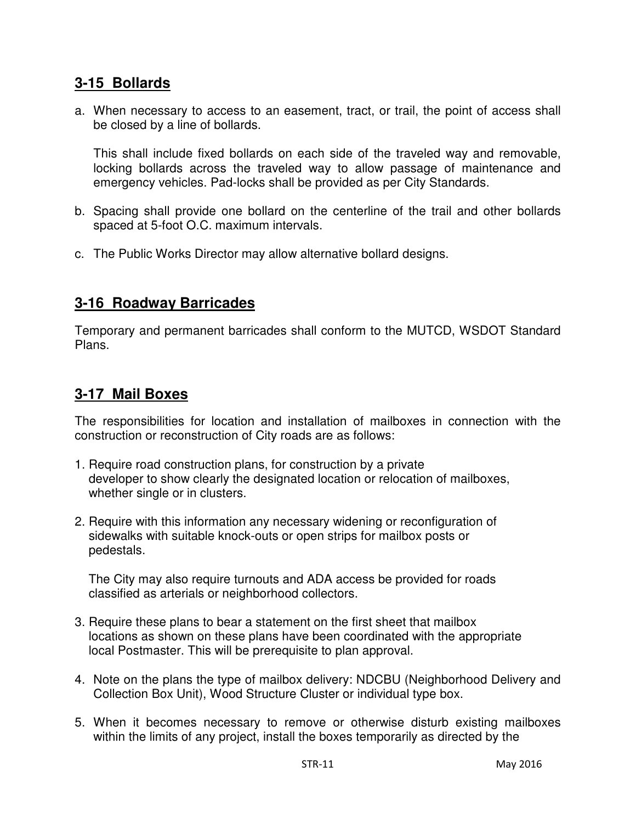## **3-15 Bollards**

a. When necessary to access to an easement, tract, or trail, the point of access shall be closed by a line of bollards.

This shall include fixed bollards on each side of the traveled way and removable, locking bollards across the traveled way to allow passage of maintenance and emergency vehicles. Pad-locks shall be provided as per City Standards.

- b. Spacing shall provide one bollard on the centerline of the trail and other bollards spaced at 5-foot O.C. maximum intervals.
- c. The Public Works Director may allow alternative bollard designs.

## **3-16 Roadway Barricades**

Temporary and permanent barricades shall conform to the MUTCD, WSDOT Standard Plans.

## **3-17 Mail Boxes**

The responsibilities for location and installation of mailboxes in connection with the construction or reconstruction of City roads are as follows:

- 1. Require road construction plans, for construction by a private developer to show clearly the designated location or relocation of mailboxes, whether single or in clusters.
- 2. Require with this information any necessary widening or reconfiguration of sidewalks with suitable knock-outs or open strips for mailbox posts or pedestals.

 The City may also require turnouts and ADA access be provided for roads classified as arterials or neighborhood collectors.

- 3. Require these plans to bear a statement on the first sheet that mailbox locations as shown on these plans have been coordinated with the appropriate local Postmaster. This will be prerequisite to plan approval.
- 4. Note on the plans the type of mailbox delivery: NDCBU (Neighborhood Delivery and Collection Box Unit), Wood Structure Cluster or individual type box.
- 5. When it becomes necessary to remove or otherwise disturb existing mailboxes within the limits of any project, install the boxes temporarily as directed by the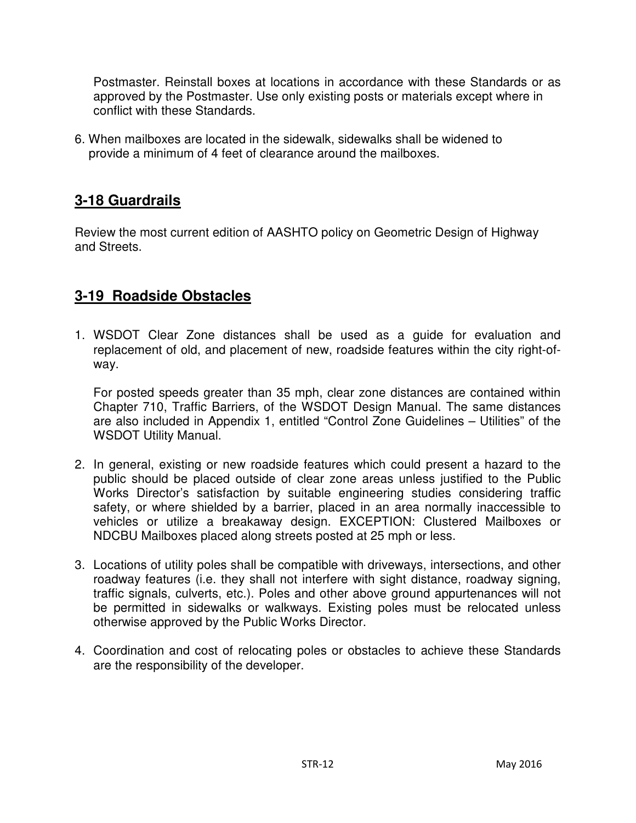Postmaster. Reinstall boxes at locations in accordance with these Standards or as approved by the Postmaster. Use only existing posts or materials except where in conflict with these Standards.

6. When mailboxes are located in the sidewalk, sidewalks shall be widened to provide a minimum of 4 feet of clearance around the mailboxes.

# **3-18 Guardrails**

Review the most current edition of AASHTO policy on Geometric Design of Highway and Streets.

# **3-19 Roadside Obstacles**

1. WSDOT Clear Zone distances shall be used as a guide for evaluation and replacement of old, and placement of new, roadside features within the city right-ofway.

 For posted speeds greater than 35 mph, clear zone distances are contained within Chapter 710, Traffic Barriers, of the WSDOT Design Manual. The same distances are also included in Appendix 1, entitled "Control Zone Guidelines – Utilities" of the WSDOT Utility Manual.

- 2. In general, existing or new roadside features which could present a hazard to the public should be placed outside of clear zone areas unless justified to the Public Works Director's satisfaction by suitable engineering studies considering traffic safety, or where shielded by a barrier, placed in an area normally inaccessible to vehicles or utilize a breakaway design. EXCEPTION: Clustered Mailboxes or NDCBU Mailboxes placed along streets posted at 25 mph or less.
- 3. Locations of utility poles shall be compatible with driveways, intersections, and other roadway features (i.e. they shall not interfere with sight distance, roadway signing, traffic signals, culverts, etc.). Poles and other above ground appurtenances will not be permitted in sidewalks or walkways. Existing poles must be relocated unless otherwise approved by the Public Works Director.
- 4. Coordination and cost of relocating poles or obstacles to achieve these Standards are the responsibility of the developer.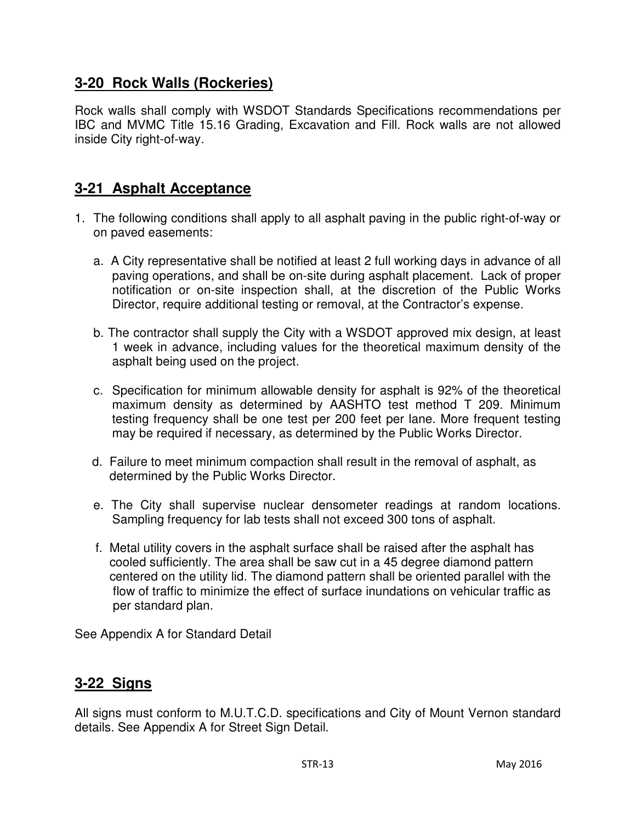# **3-20 Rock Walls (Rockeries)**

Rock walls shall comply with WSDOT Standards Specifications recommendations per IBC and MVMC Title 15.16 Grading, Excavation and Fill. Rock walls are not allowed inside City right-of-way.

# **3-21 Asphalt Acceptance**

- 1. The following conditions shall apply to all asphalt paving in the public right-of-way or on paved easements:
	- a. A City representative shall be notified at least 2 full working days in advance of all paving operations, and shall be on-site during asphalt placement. Lack of proper notification or on-site inspection shall, at the discretion of the Public Works Director, require additional testing or removal, at the Contractor's expense.
	- b. The contractor shall supply the City with a WSDOT approved mix design, at least 1 week in advance, including values for the theoretical maximum density of the asphalt being used on the project.
	- c. Specification for minimum allowable density for asphalt is 92% of the theoretical maximum density as determined by AASHTO test method T 209. Minimum testing frequency shall be one test per 200 feet per lane. More frequent testing may be required if necessary, as determined by the Public Works Director.
	- d. Failure to meet minimum compaction shall result in the removal of asphalt, as determined by the Public Works Director.
	- e. The City shall supervise nuclear densometer readings at random locations. Sampling frequency for lab tests shall not exceed 300 tons of asphalt.
	- f. Metal utility covers in the asphalt surface shall be raised after the asphalt has cooled sufficiently. The area shall be saw cut in a 45 degree diamond pattern centered on the utility lid. The diamond pattern shall be oriented parallel with the flow of traffic to minimize the effect of surface inundations on vehicular traffic as per standard plan.

See Appendix A for Standard Detail

## **3-22 Signs**

All signs must conform to M.U.T.C.D. specifications and City of Mount Vernon standard details. See Appendix A for Street Sign Detail.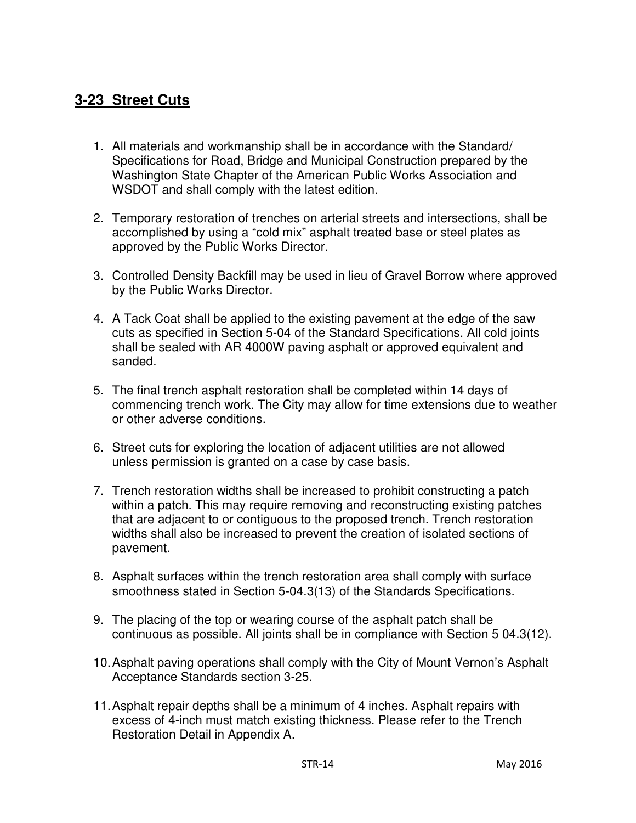# **3-23 Street Cuts**

- 1. All materials and workmanship shall be in accordance with the Standard/ Specifications for Road, Bridge and Municipal Construction prepared by the Washington State Chapter of the American Public Works Association and WSDOT and shall comply with the latest edition.
- 2. Temporary restoration of trenches on arterial streets and intersections, shall be accomplished by using a "cold mix" asphalt treated base or steel plates as approved by the Public Works Director.
- 3. Controlled Density Backfill may be used in lieu of Gravel Borrow where approved by the Public Works Director.
- 4. A Tack Coat shall be applied to the existing pavement at the edge of the saw cuts as specified in Section 5-04 of the Standard Specifications. All cold joints shall be sealed with AR 4000W paving asphalt or approved equivalent and sanded.
- 5. The final trench asphalt restoration shall be completed within 14 days of commencing trench work. The City may allow for time extensions due to weather or other adverse conditions.
- 6. Street cuts for exploring the location of adjacent utilities are not allowed unless permission is granted on a case by case basis.
- 7. Trench restoration widths shall be increased to prohibit constructing a patch within a patch. This may require removing and reconstructing existing patches that are adjacent to or contiguous to the proposed trench. Trench restoration widths shall also be increased to prevent the creation of isolated sections of pavement.
- 8. Asphalt surfaces within the trench restoration area shall comply with surface smoothness stated in Section 5-04.3(13) of the Standards Specifications.
- 9. The placing of the top or wearing course of the asphalt patch shall be continuous as possible. All joints shall be in compliance with Section 5 04.3(12).
- 10. Asphalt paving operations shall comply with the City of Mount Vernon's Asphalt Acceptance Standards section 3-25.
- 11. Asphalt repair depths shall be a minimum of 4 inches. Asphalt repairs with excess of 4-inch must match existing thickness. Please refer to the Trench Restoration Detail in Appendix A.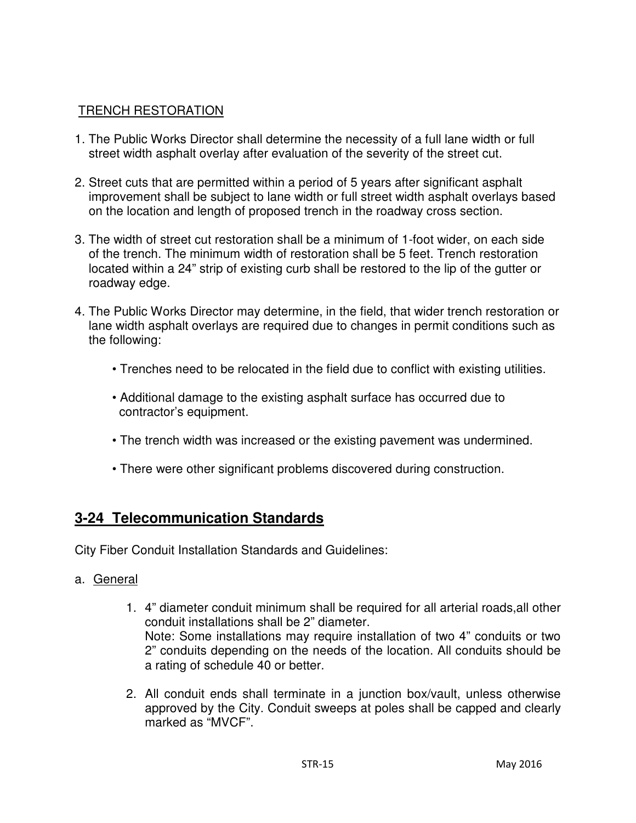## TRENCH RESTORATION

- 1. The Public Works Director shall determine the necessity of a full lane width or full street width asphalt overlay after evaluation of the severity of the street cut.
- 2. Street cuts that are permitted within a period of 5 years after significant asphalt improvement shall be subject to lane width or full street width asphalt overlays based on the location and length of proposed trench in the roadway cross section.
- 3. The width of street cut restoration shall be a minimum of 1-foot wider, on each side of the trench. The minimum width of restoration shall be 5 feet. Trench restoration located within a 24" strip of existing curb shall be restored to the lip of the gutter or roadway edge.
- 4. The Public Works Director may determine, in the field, that wider trench restoration or lane width asphalt overlays are required due to changes in permit conditions such as the following:
	- Trenches need to be relocated in the field due to conflict with existing utilities.
	- Additional damage to the existing asphalt surface has occurred due to contractor's equipment.
	- The trench width was increased or the existing pavement was undermined.
	- There were other significant problems discovered during construction.

## **3-24 Telecommunication Standards**

City Fiber Conduit Installation Standards and Guidelines:

- a. General
	- 1. 4" diameter conduit minimum shall be required for all arterial roads,all other conduit installations shall be 2" diameter. Note: Some installations may require installation of two 4" conduits or two 2" conduits depending on the needs of the location. All conduits should be a rating of schedule 40 or better.
	- 2. All conduit ends shall terminate in a junction box/vault, unless otherwise approved by the City. Conduit sweeps at poles shall be capped and clearly marked as "MVCF".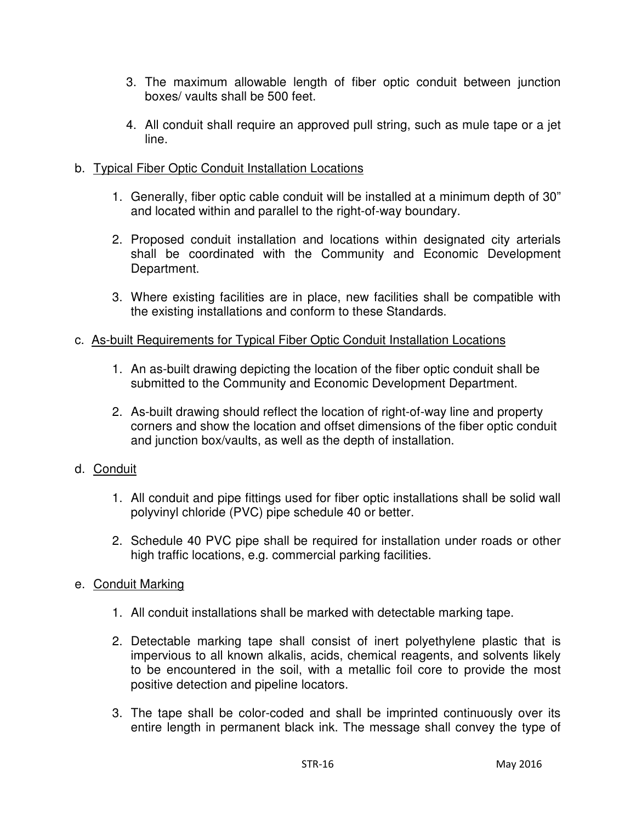- 3. The maximum allowable length of fiber optic conduit between junction boxes/ vaults shall be 500 feet.
- 4. All conduit shall require an approved pull string, such as mule tape or a jet line.

## b. Typical Fiber Optic Conduit Installation Locations

- 1. Generally, fiber optic cable conduit will be installed at a minimum depth of 30" and located within and parallel to the right-of-way boundary.
- 2. Proposed conduit installation and locations within designated city arterials shall be coordinated with the Community and Economic Development Department.
- 3. Where existing facilities are in place, new facilities shall be compatible with the existing installations and conform to these Standards.

## c. As-built Requirements for Typical Fiber Optic Conduit Installation Locations

- 1. An as-built drawing depicting the location of the fiber optic conduit shall be submitted to the Community and Economic Development Department.
- 2. As-built drawing should reflect the location of right-of-way line and property corners and show the location and offset dimensions of the fiber optic conduit and junction box/vaults, as well as the depth of installation.

## d. Conduit

- 1. All conduit and pipe fittings used for fiber optic installations shall be solid wall polyvinyl chloride (PVC) pipe schedule 40 or better.
- 2. Schedule 40 PVC pipe shall be required for installation under roads or other high traffic locations, e.g. commercial parking facilities.

## e. Conduit Marking

- 1. All conduit installations shall be marked with detectable marking tape.
- 2. Detectable marking tape shall consist of inert polyethylene plastic that is impervious to all known alkalis, acids, chemical reagents, and solvents likely to be encountered in the soil, with a metallic foil core to provide the most positive detection and pipeline locators.
- 3. The tape shall be color-coded and shall be imprinted continuously over its entire length in permanent black ink. The message shall convey the type of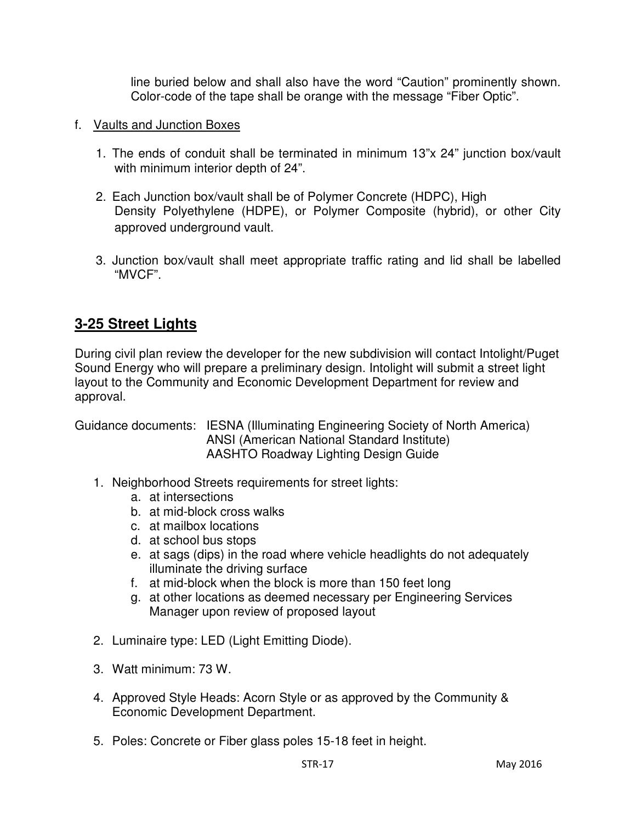line buried below and shall also have the word "Caution" prominently shown. Color-code of the tape shall be orange with the message "Fiber Optic".

- f. Vaults and Junction Boxes
	- 1. The ends of conduit shall be terminated in minimum 13"x 24" junction box/vault with minimum interior depth of 24".
	- 2. Each Junction box/vault shall be of Polymer Concrete (HDPC), High Density Polyethylene (HDPE), or Polymer Composite (hybrid), or other City approved underground vault.
	- 3. Junction box/vault shall meet appropriate traffic rating and lid shall be labelled "MVCF".

# **3-25 Street Lights**

During civil plan review the developer for the new subdivision will contact Intolight/Puget Sound Energy who will prepare a preliminary design. Intolight will submit a street light layout to the Community and Economic Development Department for review and approval.

Guidance documents: IESNA (Illuminating Engineering Society of North America) ANSI (American National Standard Institute) AASHTO Roadway Lighting Design Guide

- 1. Neighborhood Streets requirements for street lights:
	- a. at intersections
	- b. at mid-block cross walks
	- c. at mailbox locations
	- d. at school bus stops
	- e. at sags (dips) in the road where vehicle headlights do not adequately illuminate the driving surface
	- f. at mid-block when the block is more than 150 feet long
	- g. at other locations as deemed necessary per Engineering Services Manager upon review of proposed layout
- 2. Luminaire type: LED (Light Emitting Diode).
- 3. Watt minimum: 73 W.
- 4. Approved Style Heads: Acorn Style or as approved by the Community & Economic Development Department.
- 5. Poles: Concrete or Fiber glass poles 15-18 feet in height.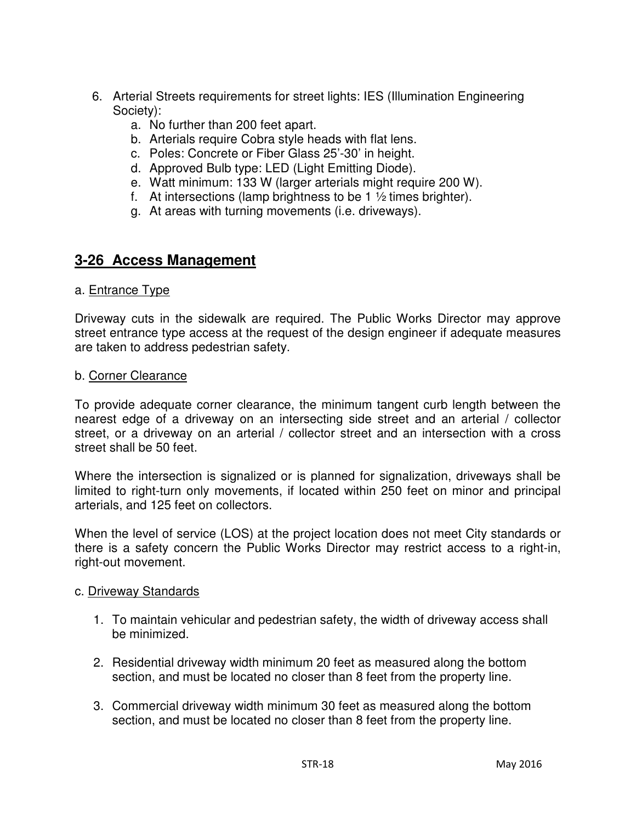- 6. Arterial Streets requirements for street lights: IES (Illumination Engineering Society):
	- a. No further than 200 feet apart.
	- b. Arterials require Cobra style heads with flat lens.
	- c. Poles: Concrete or Fiber Glass 25'-30' in height.
	- d. Approved Bulb type: LED (Light Emitting Diode).
	- e. Watt minimum: 133 W (larger arterials might require 200 W).
	- f. At intersections (lamp brightness to be 1  $\frac{1}{2}$  times brighter).
	- g. At areas with turning movements (i.e. driveways).

## **3-26 Access Management**

#### a. Entrance Type

Driveway cuts in the sidewalk are required. The Public Works Director may approve street entrance type access at the request of the design engineer if adequate measures are taken to address pedestrian safety.

#### b. Corner Clearance

To provide adequate corner clearance, the minimum tangent curb length between the nearest edge of a driveway on an intersecting side street and an arterial / collector street, or a driveway on an arterial / collector street and an intersection with a cross street shall be 50 feet.

Where the intersection is signalized or is planned for signalization, driveways shall be limited to right-turn only movements, if located within 250 feet on minor and principal arterials, and 125 feet on collectors.

When the level of service (LOS) at the project location does not meet City standards or there is a safety concern the Public Works Director may restrict access to a right-in, right-out movement.

#### c. Driveway Standards

- 1. To maintain vehicular and pedestrian safety, the width of driveway access shall be minimized.
- 2. Residential driveway width minimum 20 feet as measured along the bottom section, and must be located no closer than 8 feet from the property line.
- 3. Commercial driveway width minimum 30 feet as measured along the bottom section, and must be located no closer than 8 feet from the property line.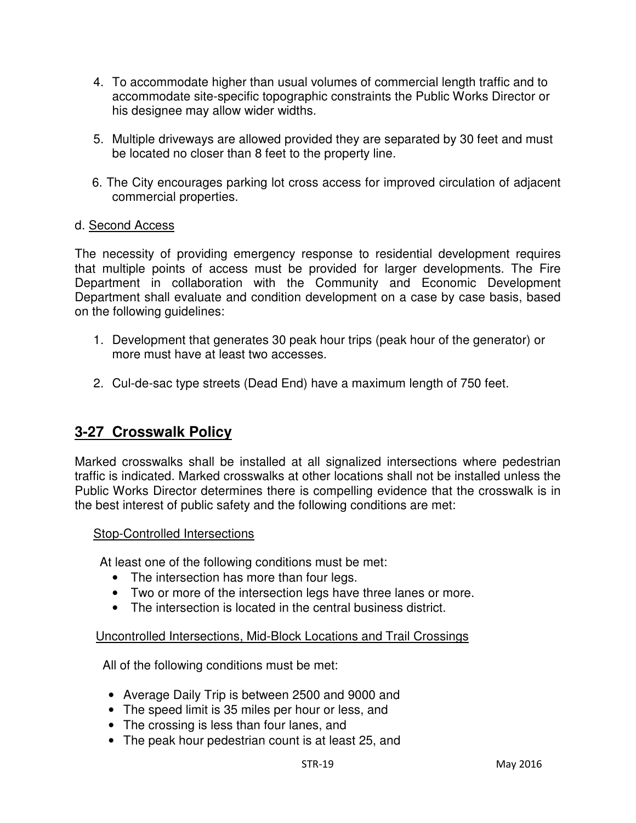- 4. To accommodate higher than usual volumes of commercial length traffic and to accommodate site-specific topographic constraints the Public Works Director or his designee may allow wider widths.
- 5. Multiple driveways are allowed provided they are separated by 30 feet and must be located no closer than 8 feet to the property line.
- 6. The City encourages parking lot cross access for improved circulation of adjacent commercial properties.

#### d. Second Access

The necessity of providing emergency response to residential development requires that multiple points of access must be provided for larger developments. The Fire Department in collaboration with the Community and Economic Development Department shall evaluate and condition development on a case by case basis, based on the following guidelines:

- 1. Development that generates 30 peak hour trips (peak hour of the generator) or more must have at least two accesses.
- 2. Cul-de-sac type streets (Dead End) have a maximum length of 750 feet.

# **3-27 Crosswalk Policy**

Marked crosswalks shall be installed at all signalized intersections where pedestrian traffic is indicated. Marked crosswalks at other locations shall not be installed unless the Public Works Director determines there is compelling evidence that the crosswalk is in the best interest of public safety and the following conditions are met:

#### Stop-Controlled Intersections

At least one of the following conditions must be met:

- The intersection has more than four legs.
- Two or more of the intersection legs have three lanes or more.
- The intersection is located in the central business district.

## Uncontrolled Intersections, Mid-Block Locations and Trail Crossings

All of the following conditions must be met:

- Average Daily Trip is between 2500 and 9000 and
- The speed limit is 35 miles per hour or less, and
- The crossing is less than four lanes, and
- The peak hour pedestrian count is at least 25, and